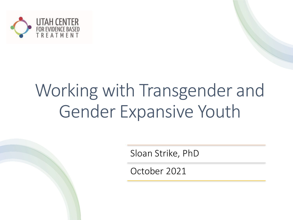

# Working with Transgender and Gender Expansive Youth

Sloan Strike, PhD

October 2021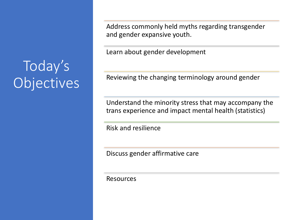# Today's Objectives

Address commonly held myths regarding transgender and gender expansive youth.

Learn about gender development

Reviewing the changing terminology around gender

Understand the minority stress that may accompany the trans experience and impact mental health (statistics)

Risk and resilience

Discuss gender affirmative care

Resources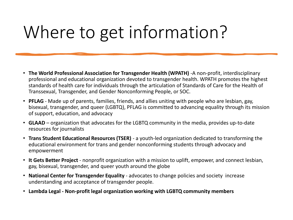# Where to get information?

- **The World Professional Association for Transgender Health (WPATH)** -A non-profit, interdisciplinary professional and educational organization devoted to transgender health. WPATH promotes the highest standards of health care for individuals through the articulation of Standards of Care for the Health of Transsexual, Transgender, and Gender Nonconforming People, or SOC.
- **PFLAG** Made up of parents, families, friends, and allies uniting with people who are lesbian, gay, bisexual, transgender, and queer (LGBTQ), PFLAG is committed to advancing equality through its mission of support, education, and advocacy
- **GLAAD** organization that advocates for the LGBTQ community in the media, provides up-to-date resources for journalists
- **Trans Student Educational Resources (TSER)**  a youth-led organization dedicated to transforming the educational environment for trans and gender nonconforming students through advocacy and empowerment
- **It Gets Better Project**  nonprofit organization with a mission to uplift, empower, and connect lesbian, gay, bisexual, transgender, and queer youth around the globe
- **National Center for Transgender Equality**  advocates to change policies and society increase understanding and acceptance of transgender people.
- **Lambda Legal - Non-profit legal organization working with LGBTQ community members**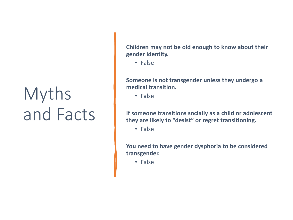# Myths and Facts

**Children may not be old enough to know about their gender identity.**

• False

**Someone is not transgender unless they undergo a medical transition.**

• False

**If someone transitions socially as a child or adolescent they are likely to "desist" or regret transitioning.**

• False

**You need to have gender dysphoria to be considered transgender.**

• False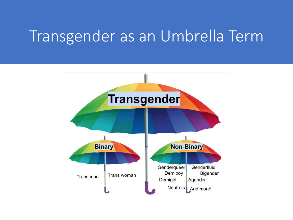### Transgender as an Umbrella Term

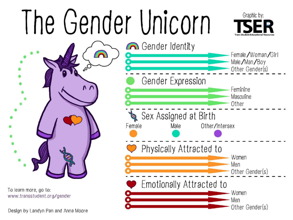# Gender Unicorn



 $\Omega$ 

To learn more, go to: www.transstudent.org/gender

Design by Landyn Pan and Anna Moore

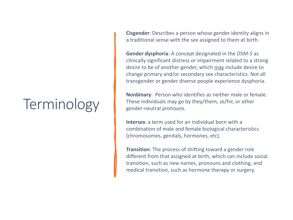# **Terminology**

**Cisgender**: Describes a person whose gender identity aligns in a traditional sense with the sex assigned to them at birth.

**Gender dysphoria**: A concept designated in the *DSM-5* as clinically significant distress or impairment related to a strong desire to be of another gender, which may include desire to change primary and/or secondary sex characteristics. Not all transgender or gender diverse people experience dysphoria.

**Nonbinary**: Person who identifies as neither male or female. These individuals may go by they/them, ze/hir, or other gender-neutral pronouns.

**Intersex**: a term used for an individual born with a combination of male and female biological characteristics (chromosomes, genitals, hormones, etc).

**Transition**: The process of shifting toward a gender role different from that assigned at birth, which can include social transition, such as new names, pronouns and clothing, and medical transition, such as hormone therapy or surgery.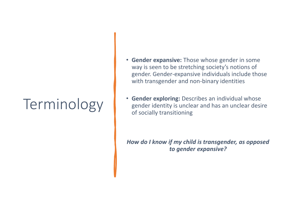# Terminology

- **Gender expansive:** Those whose gender in some way is seen to be stretching society's notions of gender. Gender-expansive individuals include those with transgender and non-binary identities
- **Gender exploring:** Describes an individual whose gender identity is unclear and has an unclear desire of socially transitioning

*How do I know if my child is transgender, as opposed to gender expansive?*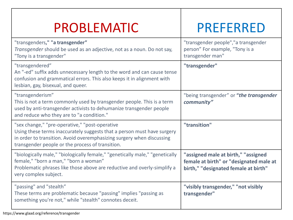### PROBLEMATIC PREFERRED

| "transgenders," "a transgender"<br>Transgender should be used as an adjective, not as a noun. Do not say,<br>"Tony is a transgender"                                                                                                                   | "transgender people","a transgender<br>person" For example, "Tony is a<br>transgender man"                             |
|--------------------------------------------------------------------------------------------------------------------------------------------------------------------------------------------------------------------------------------------------------|------------------------------------------------------------------------------------------------------------------------|
| "transgendered"<br>An "-ed" suffix adds unnecessary length to the word and can cause tense<br>confusion and grammatical errors. This also keeps it in alignment with<br>lesbian, gay, bisexual, and queer.                                             | "transgender"                                                                                                          |
| "transgenderism"<br>This is not a term commonly used by transgender people. This is a term<br>used by anti-transgender activists to dehumanize transgender people<br>and reduce who they are to "a condition."                                         | "being transgender" or "the transgender<br>community"                                                                  |
| "sex change," "pre-operative," "post-operative<br>Using these terms inaccurately suggests that a person must have surgery<br>in order to transition. Avoid overemphasizing surgery when discussing<br>transgender people or the process of transition. | "transition"                                                                                                           |
| "biologically male," "biologically female," "genetically male," "genetically<br>female," "born a man," "born a woman"<br>Problematic phrases like those above are reductive and overly-simplify a<br>very complex subject.                             | "assigned male at birth," "assigned<br>female at birth" or "designated male at<br>birth," "designated female at birth" |
| "passing" and "stealth"<br>These terms are problematic because "passing" implies "passing as<br>something you're not," while "stealth" connotes deceit.                                                                                                | "visibly transgender," "not visibly<br>transgender"                                                                    |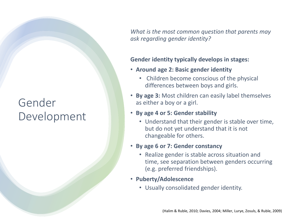### Gender Development

*What is the most common question that parents may ask regarding gender identity?*

#### **Gender identity typically develops in stages:**

- **Around age 2: Basic gender identity**
	- Children become conscious of the physical differences between boys and girls.
- **By age 3:** Most children can easily label themselves as either a boy or a girl.
- **By age 4 or 5: Gender stability**
	- Understand that their gender is stable over time, but do not yet understand that it is not changeable for others.
- **By age 6 or 7: Gender constancy**
	- Realize gender is stable across situation and time, see separation between genders occurring (e.g. preferred friendships).
- **Puberty/Adolescence**
	- Usually consolidated gender identity.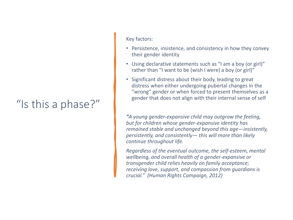### "Is this a phase?"

#### Key factors:

- Persistence, insistence, and consistency in how they convey their gender identity
- Using declarative statements such as "I am a boy (or girl)" rather than "I want to be (wish I were) a boy (or girl)"
- Significant distress about their body, leading to great distress when either undergoing pubertal changes in the "wrong" gender or when forced to present themselves as a gender that does not align with their internal sense of self

*"A young gender-expansive child may outgrow the feeling, but for children whose gender-expansive identity has remained stable and unchanged beyond this age—insistently, persistently, and consistently— this will more than likely continue throughout life.*

*Regardless of the eventual outcome, the self-esteem, mental wellbeing, and overall health of a gender-expansive or transgender child relies heavily on family acceptance; receiving love, support, and compassion from guardians is crucial." (Human Rights Campaign, 2012)*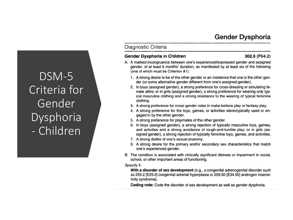#### Gender Dysphoria

DSM-5 Criteria for Gender Dysphoria - Children

#### Diagnostic Criteria

#### Gender Dysphoria in Children

#### 302.6 (F64.2)

- A. A marked incongruence between one's experienced/expressed gender and assigned gender, of at least 6 months' duration, as manifested by at least six of the following (one of which must be Criterion A1):
	- 1. A strong desire to be of the other gender or an insistence that one is the other gender (or some alternative gender different from one's assigned gender).
	- 2. In boys (assigned gender), a strong preference for cross-dressing or simulating female attire; or in girls (assigned gender), a strong preference for wearing only typical masculine clothing and a strong resistance to the wearing of typical feminine clothing.
	- 3. A strong preference for cross-gender roles in make-believe play or fantasy play.
	- 4. A strong preference for the toys, games, or activities stereotypically used or engaged in by the other gender.
	- 5. A strong preference for playmates of the other gender.
	- 6. In boys (assigned gender), a strong rejection of typically masculine toys, games, and activities and a strong avoidance of rough-and-tumble play; or in girls (assigned gender), a strong rejection of typically feminine toys, games, and activities.
	- 7. A strong dislike of one's sexual anatomy.
	- 8. A strong desire for the primary and/or secondary sex characteristics that match one's experienced gender.
- B. The condition is associated with clinically significant distress or impairment in social, school, or other important areas of functioning.

#### Specify if:

With a disorder of sex development (e.g., a congenital adrenogenital disorder such as 255.2 [E25.0] congenital adrenal hyperplasia or 259.50 [E34.50] androgen insensitivity syndrome).

**Coding note:** Code the disorder of sex development as well as gender dysphoria.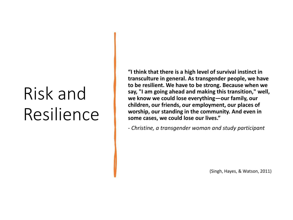# Risk and Resilience

**"I think that there is a high level of survival instinct in transculture in general. As transgender people, we have to be resilient. We have to be strong. Because when we say, "I am going ahead and making this transition," well, we know we could lose everything—our family, our children, our friends, our employment, our places of worship, our standing in the community. And even in some cases, we could lose our lives."**

*- Christine, a transgender woman and study participant*

(Singh, Hayes, & Watson, 2011)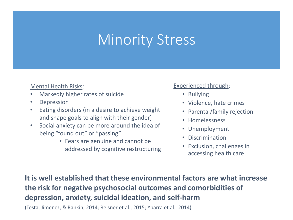### Minority Stress

#### Mental Health Risks:

- Markedly higher rates of suicide
- Depression
- Eating disorders (in a desire to achieve weight and shape goals to align with their gender)
- Social anxiety can be more around the idea of being "found out" or "passing"
	- Fears are genuine and cannot be addressed by cognitive restructuring

#### Experienced through:

- Bullying
- Violence, hate crimes
- Parental/family rejection
- Homelessness
- Unemployment
- Discrimination
- Exclusion, challenges in accessing health care

**It is well established that these environmental factors are what increase the risk for negative psychosocial outcomes and comorbidities of depression, anxiety, suicidal ideation, and self-harm** 

(Testa, Jimenez, & Rankin, 2014; Reisner et al., 2015; Ybarra et al., 2014).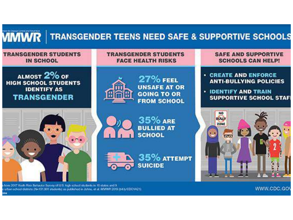

from 2017 Youth Risk Rehausor Survey of U.S. high school students in 10 states and 9. urban school detricts (N=131.901 students) as published in Johns, et al. MMWR 2019 (bit.)/CDCW21)

WWW.CDC.GOV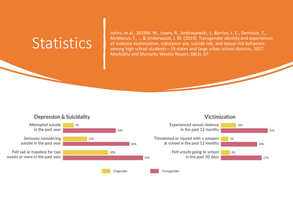### **Statistics**

Johns, et al., 2019M. M., Lowry, R., Andrzejewski, J., Barrios, L. C., Demissie, Z., McManus, T., ... & Underwood, J. M. (2019). Transgender identity and experiences of violence victimization, substance use, suicide risk, and sexual risk behaviors among high school students—19 states and large urban school districts, 2017. Morbidity and Mortality Weekly Report, 68(3), 67.

#### **Depression & Suicidality**



#### Victimization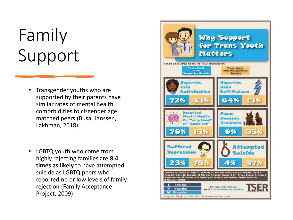# Family Support

- Transgender youths who are supported by their parents have similar rates of mental health comorbidities to cisgender age matched peers (Busa, Janssen, Lakhman, 2018)
- LGBTQ youth who come from highly rejecting families are **8.4 times as likely** to have attempted suicide as LGBTQ peers who reported no or low levels of family rejection (Family Acceptance Project, 2009)

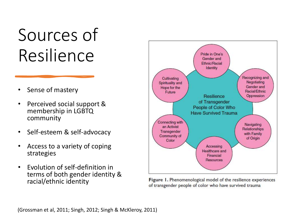# Sources of Resilience

- Sense of mastery
- Perceived social support & membership in LGBTQ community
- Self-esteem & self-advocacy
- Access to a variety of coping strategies
- Evolution of self-definition in terms of both gender identity & racial/ethnic identity



Figure 1. Phenomenological model of the resilience experiences of transgender people of color who have survived trauma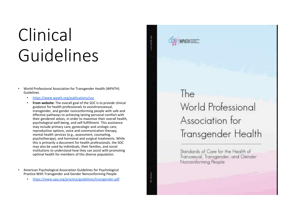# Clinical Guidelines

- World Professional Association for Transgender Health (WPATH) Guidelines
	- <https://www.wpath.org/publications/soc>
	- **From website:** The overall goal of the SOC is to provide clinical guidance for health professionals to assisttranssexual, transgender, and gender nonconforming people with safe and effective pathways to achieving lasting personal comfort with their gendered selves, in order to maximize their overall health, psychological well-being, and self-fulfillment. This assistance may include primary care, gynecologic and urologic care, reproductive options, voice and communication therapy, mental health services (e.g., assessment, counseling, psychotherapy), and hormonal and surgical treatments. While this is primarily a document for health professionals, the SOC may also be used by individuals, their families, and social institutions to understand how they can assist with promoting optimal health for members of this diverse population.
- American Psychological Association Guidelines for Psychological Practice With Transgender and Gender Nonconforming People
	- <https://www.apa.org/practice/guidelines/transgender.pdf>

The World Professional Association for Transgender Health

Standards of Care for the Health of Transsexual, Transgender, and Gender Nonconforming People

**Hill Version**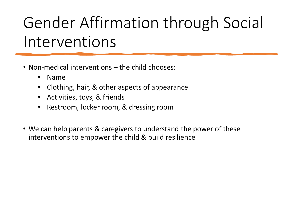# Gender Affirmation through Social Interventions

- Non-medical interventions the child chooses:
	- Name
	- Clothing, hair, & other aspects of appearance
	- Activities, toys, & friends
	- Restroom, locker room, & dressing room
- We can help parents & caregivers to understand the power of these interventions to empower the child & build resilience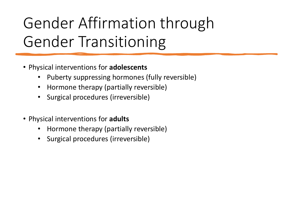# Gender Affirmation through Gender Transitioning

- Physical interventions for **adolescents**
	- Puberty suppressing hormones (fully reversible)
	- Hormone therapy (partially reversible)
	- Surgical procedures (irreversible)
- Physical interventions for **adults**
	- Hormone therapy (partially reversible)
	- Surgical procedures (irreversible)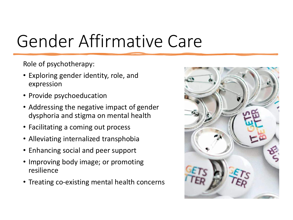# Gender Affirmative Care

Role of psychotherapy:

- Exploring gender identity, role, and expression
- Provide psychoeducation
- Addressing the negative impact of gender dysphoria and stigma on mental health
- Facilitating a coming out process
- Alleviating internalized transphobia
- Enhancing social and peer support
- Improving body image; or promoting resilience
- Treating co-existing mental health concerns

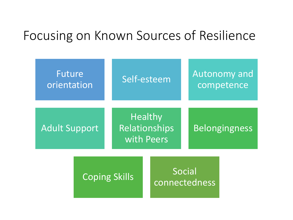### Focusing on Known Sources of Resilience

| Future<br>orientation                                                 |  | Self-esteem             |  |                      | <b>Autonomy and</b><br>competence |  |
|-----------------------------------------------------------------------|--|-------------------------|--|----------------------|-----------------------------------|--|
| <b>Healthy</b><br>Relationships<br><b>Adult Support</b><br>with Peers |  |                         |  | <b>Belongingness</b> |                                   |  |
| <b>Coping Skills</b>                                                  |  | Social<br>connectedness |  |                      |                                   |  |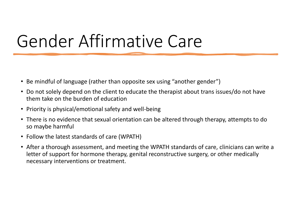# Gender Affirmative Care

- Be mindful of language (rather than opposite sex using "another gender")
- Do not solely depend on the client to educate the therapist about trans issues/do not have them take on the burden of education
- Priority is physical/emotional safety and well-being
- There is no evidence that sexual orientation can be altered through therapy, attempts to do so maybe harmful
- Follow the latest standards of care (WPATH)
- After a thorough assessment, and meeting the WPATH standards of care, clinicians can write a letter of support for hormone therapy, genital reconstructive surgery, or other medically necessary interventions or treatment.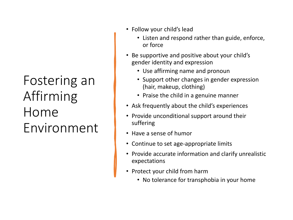### Fostering an Affirming Home Environment

- Follow your child's lead
	- Listen and respond rather than guide, enforce, or force
- Be supportive and positive about your child's gender identity and expression
	- Use affirming name and pronoun
	- Support other changes in gender expression (hair, makeup, clothing)
	- Praise the child in a genuine manner
- Ask frequently about the child's experiences
- Provide unconditional support around their suffering
- Have a sense of humor
- Continue to set age-appropriate limits
- Provide accurate information and clarify unrealistic expectations
- Protect your child from harm
	- No tolerance for transphobia in your home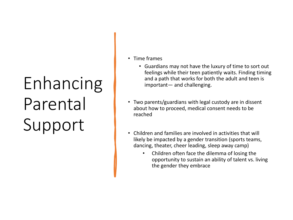# Enhancing Parental Support

- Time frames
	- Guardians may not have the luxury of time to sort out feelings while their teen patiently waits. Finding timing and a path that works for both the adult and teen is important— and challenging.
- Two parents/guardians with legal custody are in dissent about how to proceed, medical consent needs to be reached
- Children and families are involved in activities that will likely be impacted by a gender transition (sports teams, dancing, theater, cheer leading, sleep away camp)
	- Children often face the dilemma of losing the opportunity to sustain an ability of talent vs. living the gender they embrace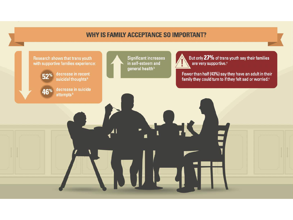#### **WHY IS FAMILY ACCEPTANCE SO IMPORTANT?**

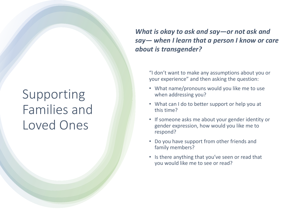### Supporting Families and Loved Ones

*What is okay to ask and say—or not ask and say— when I learn that a person I know or care about is transgender?*

"I don't want to make any assumptions about you or your experience" and then asking the question:

- What name/pronouns would you like me to use when addressing you?
- What can I do to better support or help you at this time?
- If someone asks me about your gender identity or gender expression, how would you like me to respond?
- Do you have support from other friends and family members?
- Is there anything that you've seen or read that you would like me to see or read?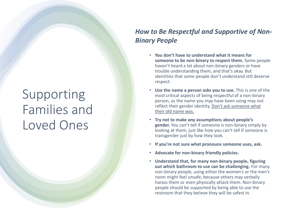### Supporting Families and Loved Ones

#### *How to Be Respectful and Supportive of Non-Binary People*

- **You don't have to understand what it means for someone to be non-binary to respect them.** Some people haven't heard a lot about non-binary genders or have trouble understanding them, and that's okay. But identities that some people don't understand still deserve respect.
- **Use the name a person asks you to use.** This is one of the most critical aspects of being respectful of a non-binary person, as the name you may have been using may not reflect their gender identity. Don't ask someone what their old name was.
- **Try not to make any assumptions about people's gender.** You can't tell if someone is non-binary simply by looking at them, just like how you can't tell if someone is transgender just by how they look.
- **If you're not sure what pronouns someone uses, ask.**
- **Advocate for non-binary friendly policies.**
- **Understand that, for many non-binary people, figuring out which bathroom to use can be challenging.** For many non-binary people, using either the women's or the men's room might feel unsafe, because others may verbally harass them or even physically attack them. Non-binary people should be supported by being able to use the restroom that they believe they will be safest in.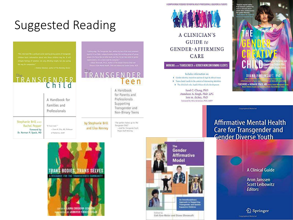### Suggested Reading

sek fills a probound social need by giving parents of transgende in about who those children may be. It will

w Solomon, author of The Norman D

# TRANSGENDER

A Handbook for Families and Professionals Stephanie Brill AND **Rachel Pepper** "A 'must read," " Foreword by -Irene N. Sills, MD, Professor

Dr. Norman P. Spack, MD

by Stephanie Brill of Pediatrics, SUNY

and Lisa Kenney

it is a med read for everyone."<br>Irrialt, Ph.D., hatter of The Gender Cree

Finctur of the Mental Nearth, Child and Adolessed Center Con-

#### TRANSGENDER leen

A Handbook for Parents and Professionals Supporting Transgender and Non-Binary Teens

"The perfect fullow up to The Transpireder Child? -Auf Ort, Torogorder Youth Project Staff Attorney



A COMPREHENSIVE RESOURCE FOR MENTAL HEALTH PROFESSIONALS, EDUCATORS & STUDENTS

A CLINICIAN'S GUIDE to **GENDER-AFFIRMING** CARE

**WORKING with TRANSGENDER & GENDER NONCONFORMING CLIENTS** 

Includes information on: > Gender identity, transition options & legal & ethical issues > Trans clients' needs in the context of intersecting identities > The clinician's role, implicit biases & ally development

> Sand C. Chang, PhD Anneliese A. Singh, PhD, LPC lore m. dickey, PhD Foreword by Mira Krishnan, PhD, ABPP



Copyrighted Material

### **Affirmative Mental Health Care for Transgender and<br>Gender Diverse Youth**





Colt Keo-Meier and Diane Ehrensaft

**A Clinical Guide** 

Aron Janssen **Scott Leibowitz Editors** 

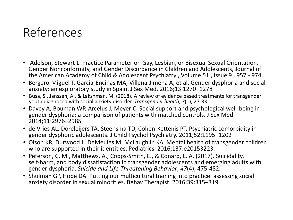### References

- Adelson, Stewart L. Practice Parameter on Gay, Lesbian, or Bisexual Sexual Orientation, Gender Nonconformity, and Gender Discordance in Children and Adolescents, Journal of the American Academy of Child & Adolescent Psychiatry , Volume 51 , Issue 9 , 957 - 974
- Bergero-Miguel T, Garcia-Encinas MA, Villena-Jimena A, et al. Gender dysphoria and social anxiety: an exploratory study in Spain. J Sex Med. 2016;13:1270–1278
- Busa, S., Janssen, A., & Lakshman, M. (2018). A review of evidence based treatments for transgender youth diagnosed with social anxiety disorder. *Transgender health*, *3*(1), 27-33.
- Davey A, Bouman WP, Arcelus J, Meyer C. Social support and psychological well-being in gender dysphoria: a comparison of patients with matched controls. J Sex Med. 2014;11:2976–2985
- de Vries AL, Doreleijers TA, Steensma TD, Cohen-Kettenis PT. Psychiatric comorbidity in gender dysphoric adolescents. J Child Psychol Psychiatry. 2011;52:1195–1202
- Olson KR, Durwood L, DeMeules M, McLaughlin KA. Mental health of transgender children who are supported in their identities. Pediatrics. 2016;137:e20153223.
- Peterson, C. M., Matthews, A., Copps‐Smith, E., & Conard, L. A. (2017). Suicidality, self-harm, and body dissatisfaction in transgender adolescents and emerging adults with gender dysphoria. *Suicide and Life‐Threatening Behavior*, *47*(4), 475-482.
- Shulman GP, Hope DA. Putting our multicultural training into practice: assessing social anxiety disorder in sexual minorities. Behav Therapist. 2016;39:315–319